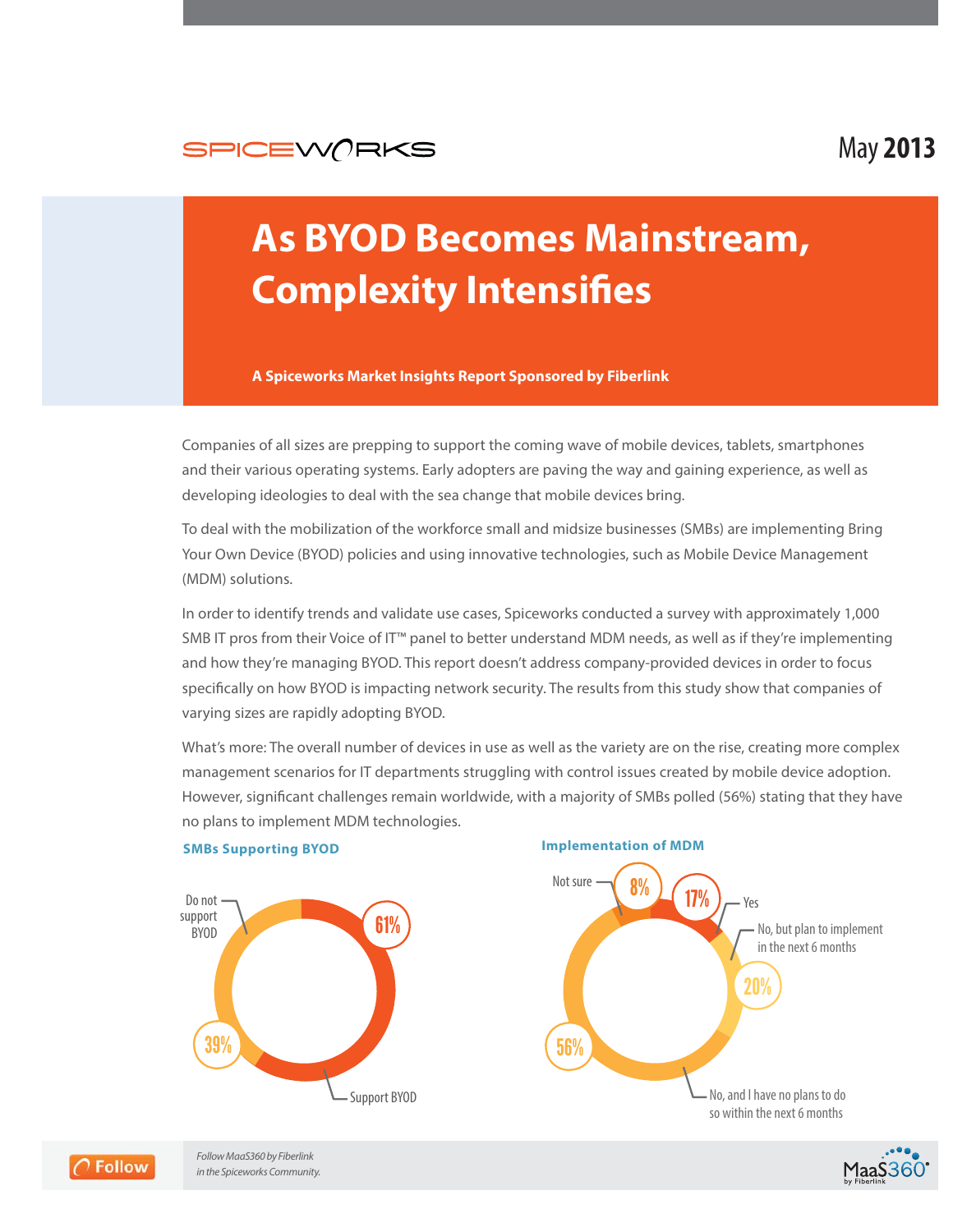

# May **2013**

# **As BYOD Becomes Mainstream, Complexity Intensifies**

# **A Spiceworks Market Insights Report Sponsored by Fiberlink**

Companies of all sizes are prepping to support the coming wave of mobile devices, tablets, smartphones and their various operating systems. Early adopters are paving the way and gaining experience, as well as developing ideologies to deal with the sea change that mobile devices bring.

To deal with the mobilization of the workforce small and midsize businesses (SMBs) are implementing Bring Your Own Device (BYOD) policies and using innovative technologies, such as Mobile Device Management (MDM) solutions.

In order to identify trends and validate use cases, Spiceworks conducted a survey with approximately 1,000 SMB IT pros from their Voice of IT™ panel to better understand MDM needs, as well as if they're implementing and how they're managing BYOD. This report doesn't address company-provided devices in order to focus specifically on how BYOD is impacting network security. The results from this study show that companies of varying sizes are rapidly adopting BYOD.

What's more: The overall number of devices in use as well as the variety are on the rise, creating more complex management scenarios for IT departments struggling with control issues created by mobile device adoption. However, significant challenges remain worldwide, with a majority of SMBs polled (56%) stating that they have no plans to implement MDM technologies.









Follow MaaS360 by Fiberlink in the Spiceworks Community.

**Follow**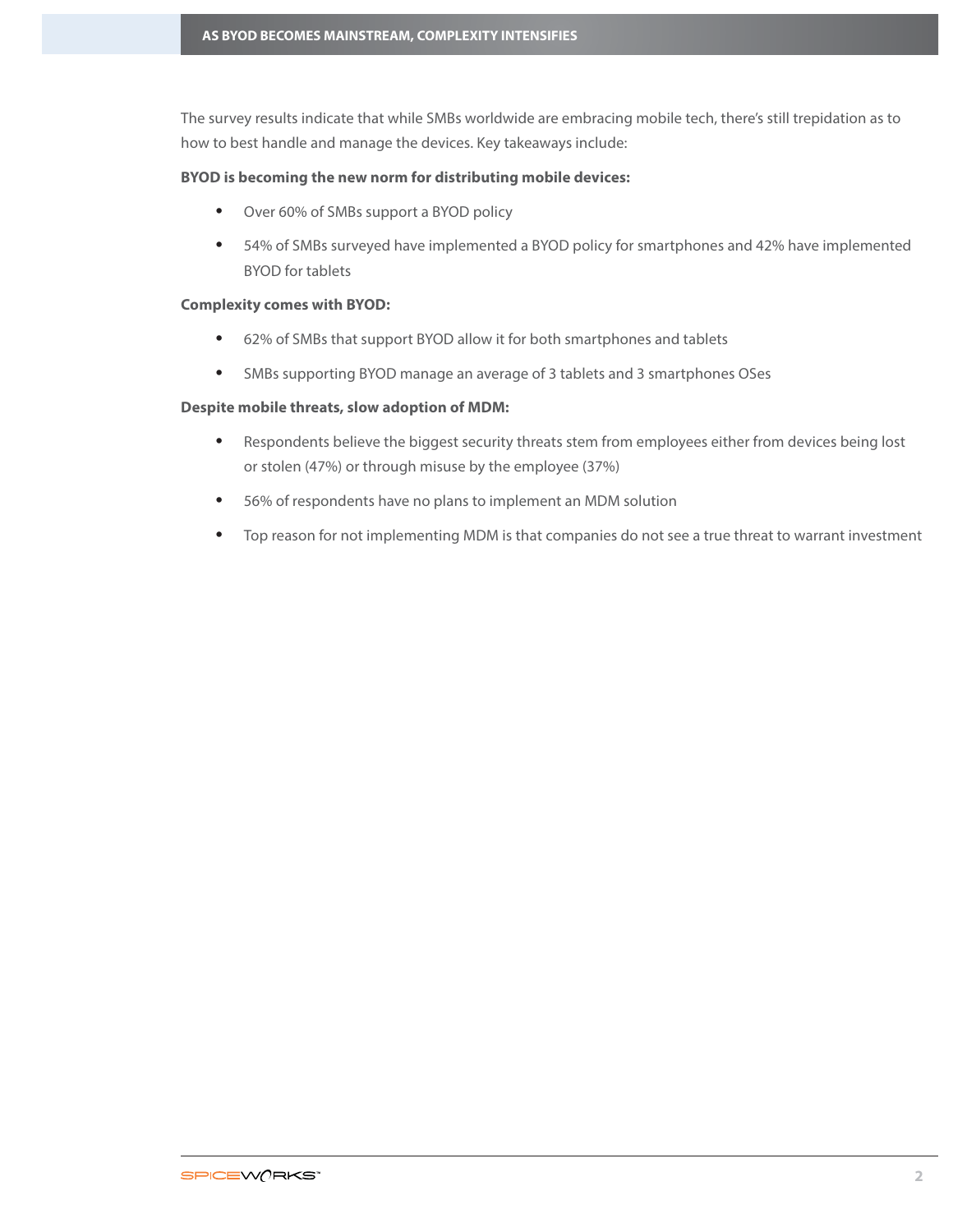The survey results indicate that while SMBs worldwide are embracing mobile tech, there's still trepidation as to how to best handle and manage the devices. Key takeaways include:

# **BYOD is becoming the new norm for distributing mobile devices:**

- Over 60% of SMBs support a BYOD policy
- 54% of SMBs surveyed have implemented a BYOD policy for smartphones and 42% have implemented BYOD for tablets

# **Complexity comes with BYOD:**

- 62% of SMBs that support BYOD allow it for both smartphones and tablets
- SMBs supporting BYOD manage an average of 3 tablets and 3 smartphones OSes

# **Despite mobile threats, slow adoption of MDM:**

- Respondents believe the biggest security threats stem from employees either from devices being lost or stolen (47%) or through misuse by the employee (37%)
- 56% of respondents have no plans to implement an MDM solution
- Top reason for not implementing MDM is that companies do not see a true threat to warrant investment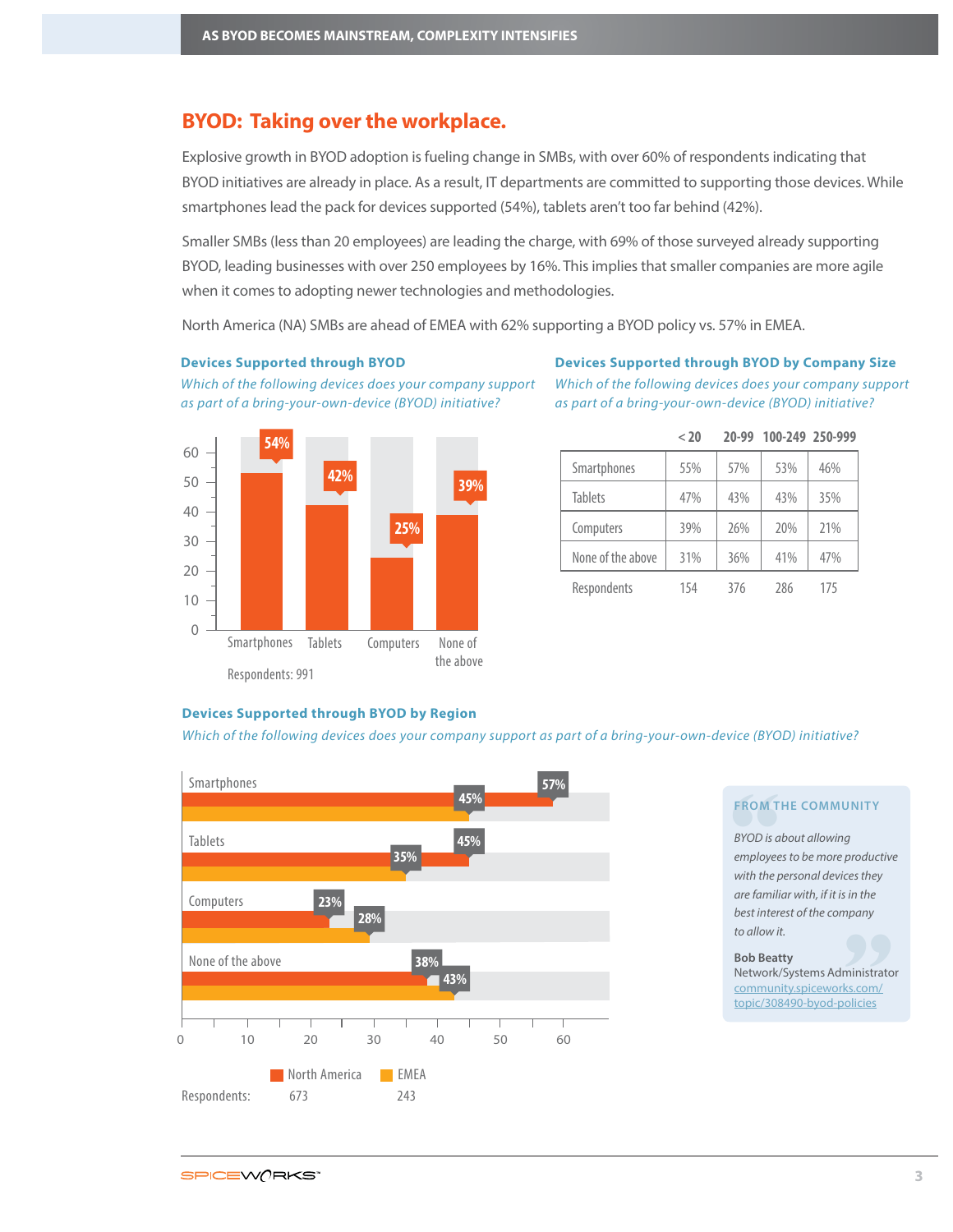# **BYOD: Taking over the workplace.**

Explosive growth in BYOD adoption is fueling change in SMBs, with over 60% of respondents indicating that BYOD initiatives are already in place. As a result, IT departments are committed to supporting those devices. While smartphones lead the pack for devices supported (54%), tablets aren't too far behind (42%).

Smaller SMBs (less than 20 employees) are leading the charge, with 69% of those surveyed already supporting BYOD, leading businesses with over 250 employees by 16%. This implies that smaller companies are more agile when it comes to adopting newer technologies and methodologies.

North America (NA) SMBs are ahead of EMEA with 62% supporting a BYOD policy vs. 57% in EMEA.

#### **Devices Supported through BYOD**

# **Devices Supported through BYOD by Company Size** Which of the following devices does your company support

Which of the following devices does your company support as part of a bring-your-own-device (BYOD) initiative?





|  |                   | < 20 | 20-99 | 100-249 250-999 |     |
|--|-------------------|------|-------|-----------------|-----|
|  | Smartphones       | 55%  | 57%   | 53%             | 46% |
|  | <b>Tablets</b>    | 47%  | 43%   | 43%             | 35% |
|  | Computers         | 39%  | 26%   | 20%             | 21% |
|  | None of the above | 31%  | 36%   | 41%             | 47% |
|  | Respondents       | 154  | 376   | 286             | 175 |

# **Devices Supported through BYOD by Region**

Which of the following devices does your company support as part of a bring-your-own-device (BYOD) initiative?



### **FROM THE COMMUNITY**

**FROM T**<br>BYOD is a<br>employee<br>with the p<br>are famili are familiar with, if it is in the<br>
best interest of the company<br>
to allow it.<br> **Bob Beatty** BYOD is about allowing employees to be more productive with the personal devices they best interest of the company to allow it.

#### **Bob Beatty**

Network/Systems Administrator [community.spiceworks.com/](http://community.spiceworks.com/topic/308490-byod-policies) topic/308490-byod-policies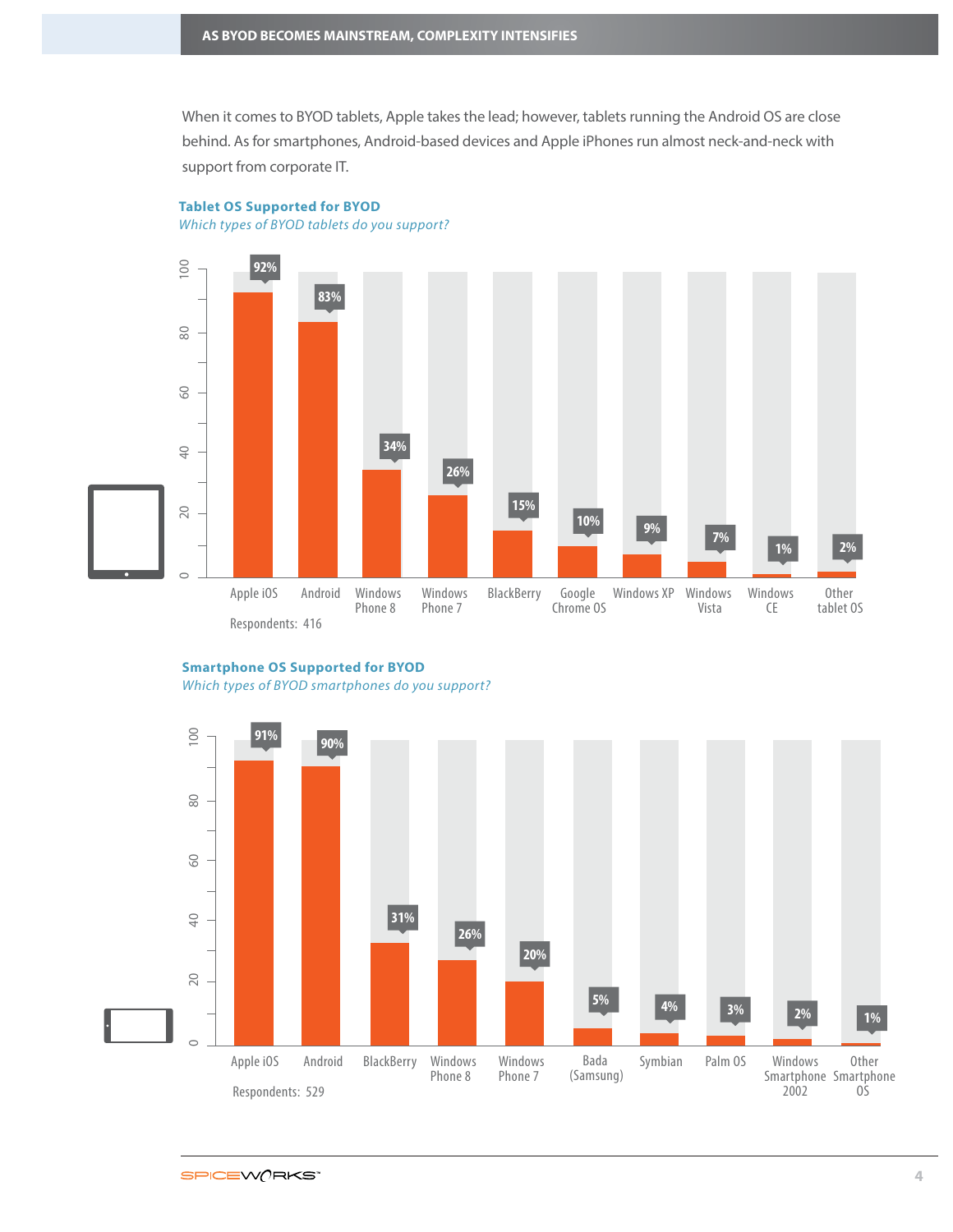When it comes to BYOD tablets, Apple takes the lead; however, tablets running the Android OS are close behind. As for smartphones, Android-based devices and Apple iPhones run almost neck-and-neck with support from corporate IT.

**Tablet OS Supported for BYOD** 

Which types of BYOD tablets do you support?



**Smartphone OS Supported for BYOD**

Which types of BYOD smartphones do you support?

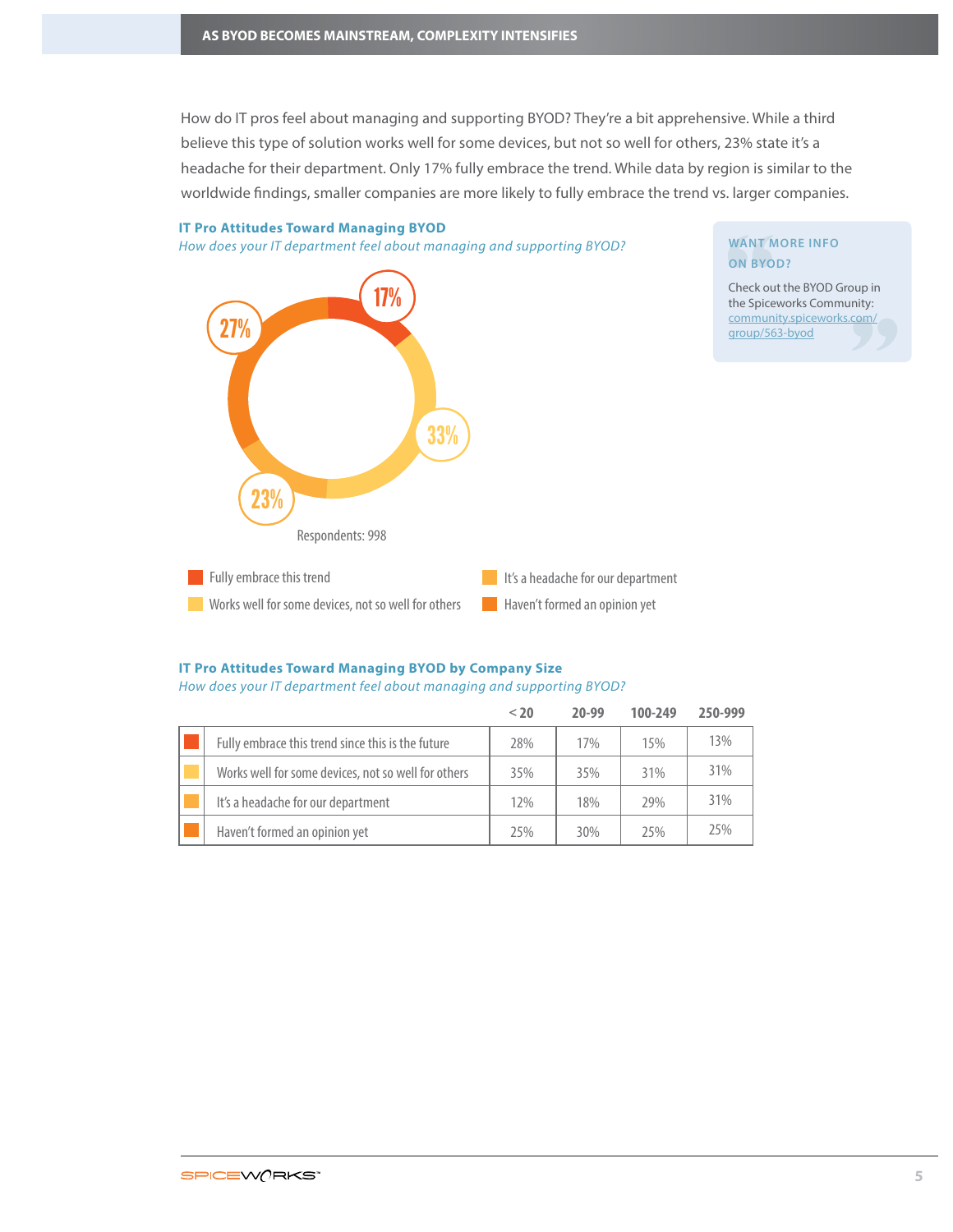How do IT pros feel about managing and supporting BYOD? They're a bit apprehensive. While a third believe this type of solution works well for some devices, but not so well for others, 23% state it's a headache for their department. Only 17% fully embrace the trend. While data by region is similar to the worldwide findings, smaller companies are more likely to fully embrace the trend vs. larger companies.



### **IT Pro Attitudes Toward Managing BYOD by Company Size**

#### How does your IT department feel about managing and supporting BYOD?

|                                                     | < 20 | $20 - 99$ | 100-249 | 250-999 |
|-----------------------------------------------------|------|-----------|---------|---------|
| Fully embrace this trend since this is the future   | 28%  | 17%       | 15%     | 13%     |
| Works well for some devices, not so well for others | 35%  | 35%       | 31%     | 31%     |
| It's a headache for our department                  | 12%  | 18%       | 29%     | 31%     |
| Haven't formed an opinion yet                       | 25%  | 30%       | 25%     | 25%     |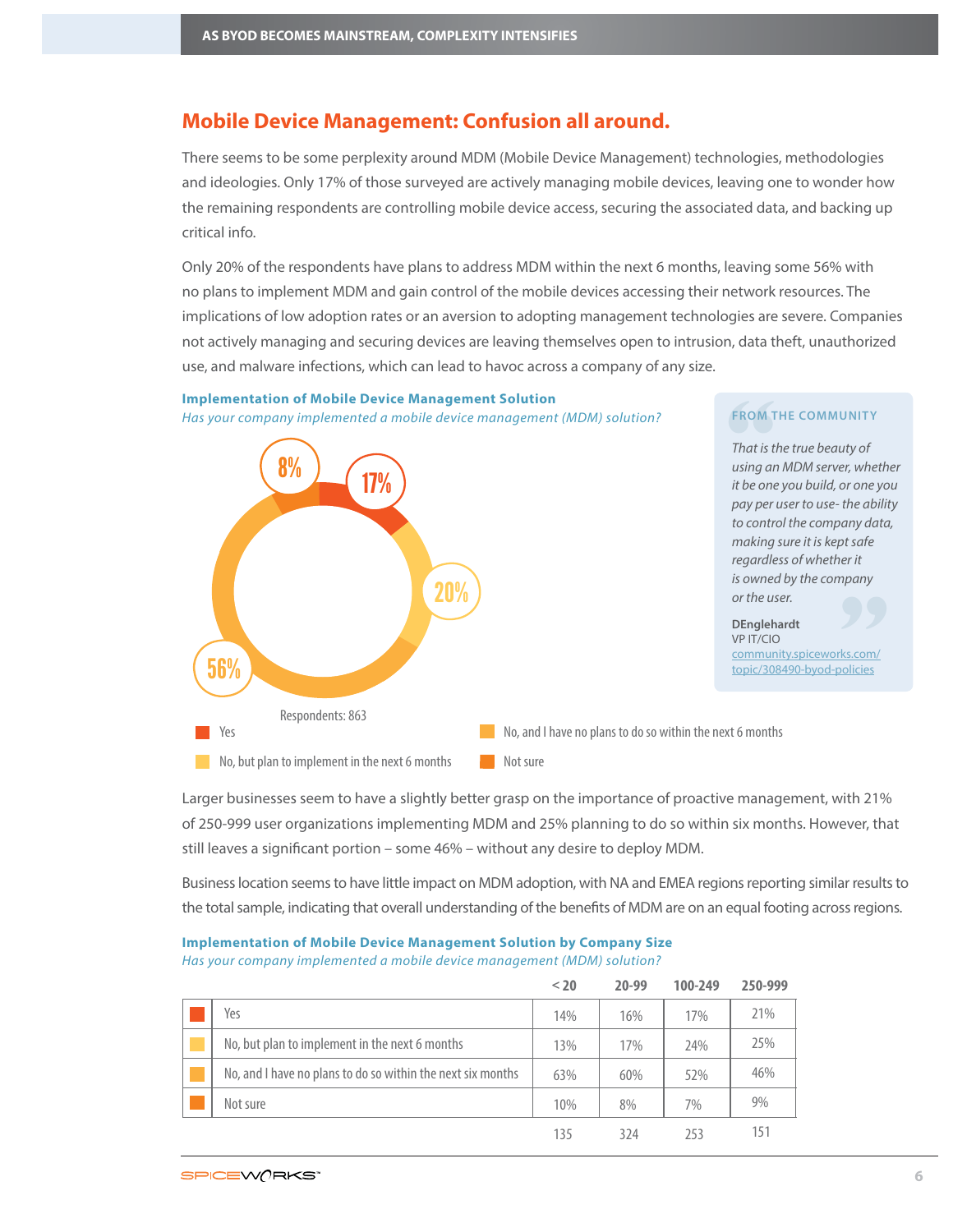# **Mobile Device Management: Confusion all around.**

There seems to be some perplexity around MDM (Mobile Device Management) technologies, methodologies and ideologies. Only 17% of those surveyed are actively managing mobile devices, leaving one to wonder how the remaining respondents are controlling mobile device access, securing the associated data, and backing up critical info.

Only 20% of the respondents have plans to address MDM within the next 6 months, leaving some 56% with no plans to implement MDM and gain control of the mobile devices accessing their network resources. The implications of low adoption rates or an aversion to adopting management technologies are severe. Companies not actively managing and securing devices are leaving themselves open to intrusion, data theft, unauthorized use, and malware infections, which can lead to havoc across a company of any size.



**Implementation of Mobile Device Management Solution** Has your company implemented a mobile device management (MDM) solution? **FROM THE COMMUNITY**

Larger businesses seem to have a slightly better grasp on the importance of proactive management, with 21% of 250-999 user organizations implementing MDM and 25% planning to do so within six months. However, that still leaves a significant portion – some 46% – without any desire to deploy MDM.

Business location seems to have little impact on MDM adoption, with NA and EMEA regions reporting similar results to the total sample, indicating that overall understanding of the benefits of MDM are on an equal footing across regions.

|  | <b>Implementation of Mobile Device Management Solution by Company Size</b> |  |
|--|----------------------------------------------------------------------------|--|
|  | Has your company implemented a mobile device management (MDM) solution?    |  |

|                                                             | $20$ | 20-99 | 100-249 | 250-999 |
|-------------------------------------------------------------|------|-------|---------|---------|
| Yes                                                         | 14%  | 16%   | 17%     | 21%     |
| No, but plan to implement in the next 6 months              | 13%  | 17%   | 24%     | 25%     |
| No, and I have no plans to do so within the next six months | 63%  | 60%   | 52%     | 46%     |
| Not sure                                                    | 10%  | 8%    | 7%      | 9%      |
|                                                             | 135  | 324   | 253     | 151     |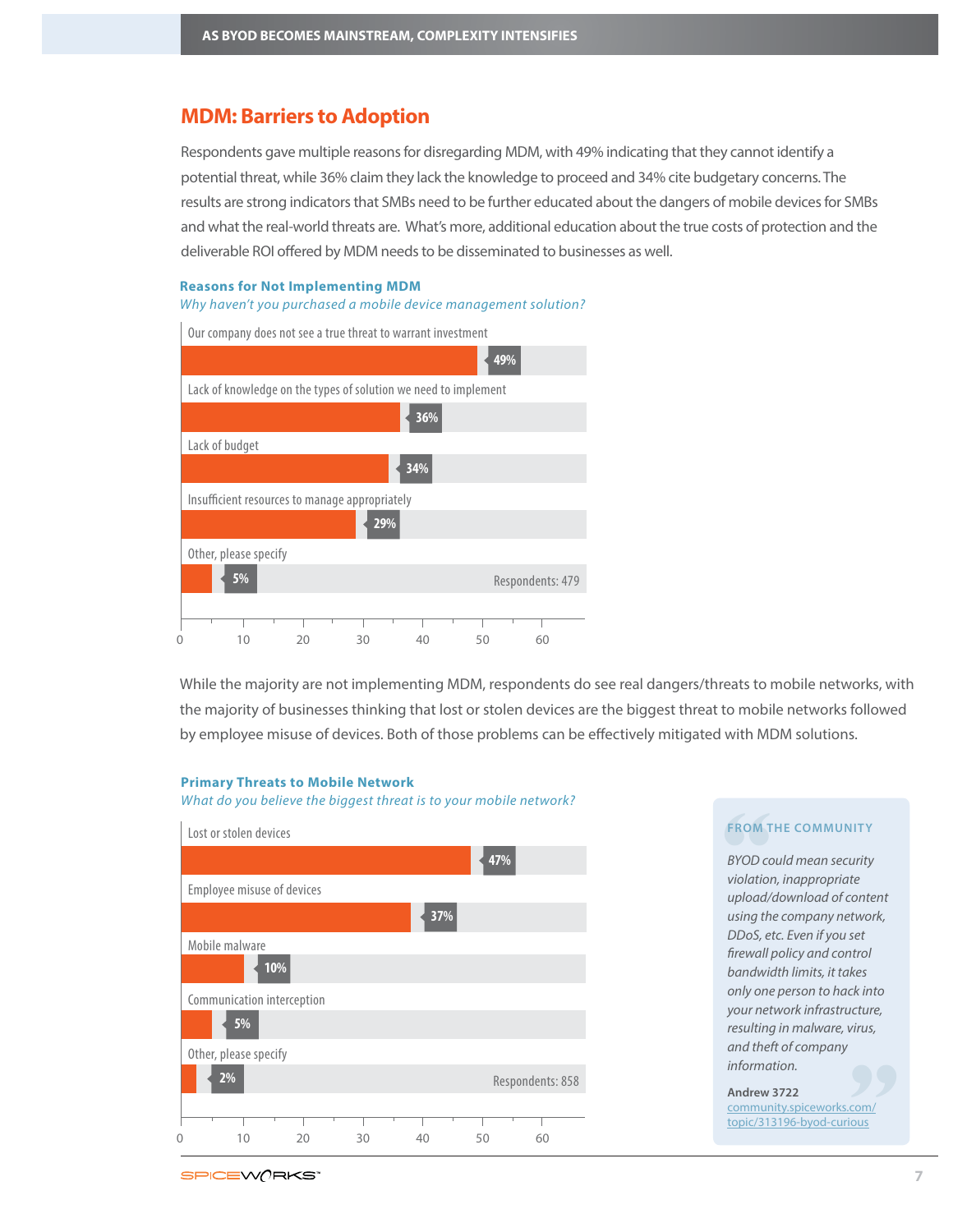# **MDM: Barriers to Adoption**

Respondents gave multiple reasons for disregarding MDM, with 49% indicating that they cannot identify a potential threat, while 36% claim they lack the knowledge to proceed and 34% cite budgetary concerns. The results are strong indicators that SMBs need to be further educated about the dangers of mobile devices for SMBs and what the real-world threats are. What's more, additional education about the true costs of protection and the deliverable ROI offered by MDM needs to be disseminated to businesses as well.

#### **Reasons for Not Implementing MDM**

Why haven't you purchased a mobile device management solution?



While the majority are not implementing MDM, respondents do see real dangers/threats to mobile networks, with the majority of businesses thinking that lost or stolen devices are the biggest threat to mobile networks followed by employee misuse of devices. Both of those problems can be effectively mitigated with MDM solutions.

### **Primary Threats to Mobile Network**

What do you believe the biggest threat is to your mobile network?



**FROM THE COMMUNITY**<br> **BYOD could mean security**<br>
violation, inappropriate<br>
upload/download of containing the company netwo rirus,<br>**99** BYOD could mean security violation, inappropriate upload/download of content using the company network, DDoS, etc. Even if you set firewall policy and control bandwidth limits, it takes only one person to hack into your network infrastructure, resulting in malware, virus, and theft of company information.

**Andrew 3722**

[community.spiceworks.com/](http://community.spiceworks.com/topic/313196-byod-curious) topic/313196-byod-curious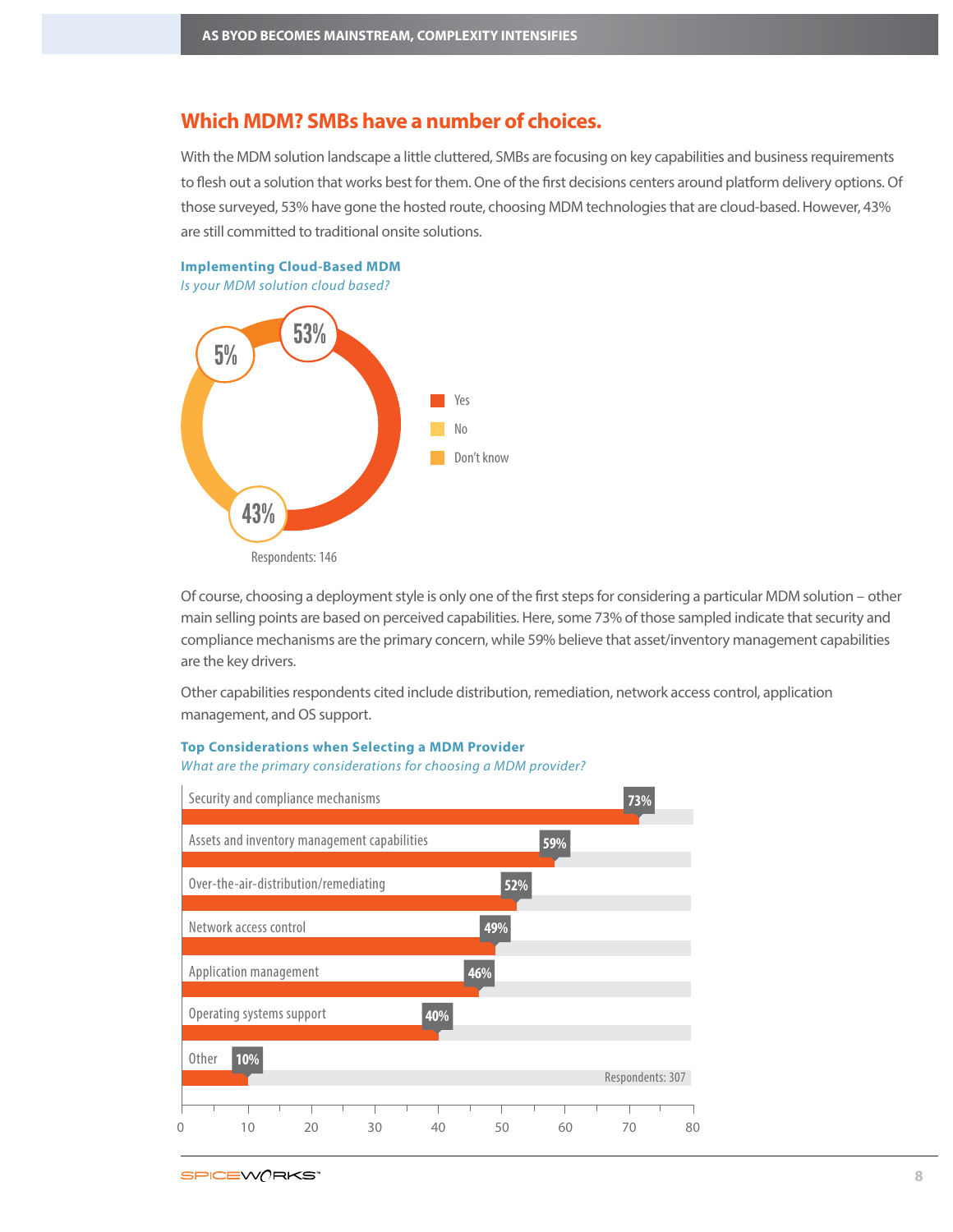# **Which MDM? SMBs have a number of choices.**

With the MDM solution landscape a little cluttered, SMBs are focusing on key capabilities and business requirements to flesh out a solution that works best for them. One of the first decisions centers around platform delivery options. Of those surveyed, 53% have gone the hosted route, choosing MDM technologies that are cloud-based. However, 43% are still committed to traditional onsite solutions.



Is your MDM solution cloud based?



Of course, choosing a deployment style is only one of the first steps for considering a particular MDM solution – other main selling points are based on perceived capabilities. Here, some 73% of those sampled indicate that security and compliance mechanisms are the primary concern, while 59% believe that asset/inventory management capabilities are the key drivers.

Other capabilities respondents cited include distribution, remediation, network access control, application management, and OS support.

# **Top Considerations when Selecting a MDM Provider**

What are the primary considerations for choosing a MDM provider?

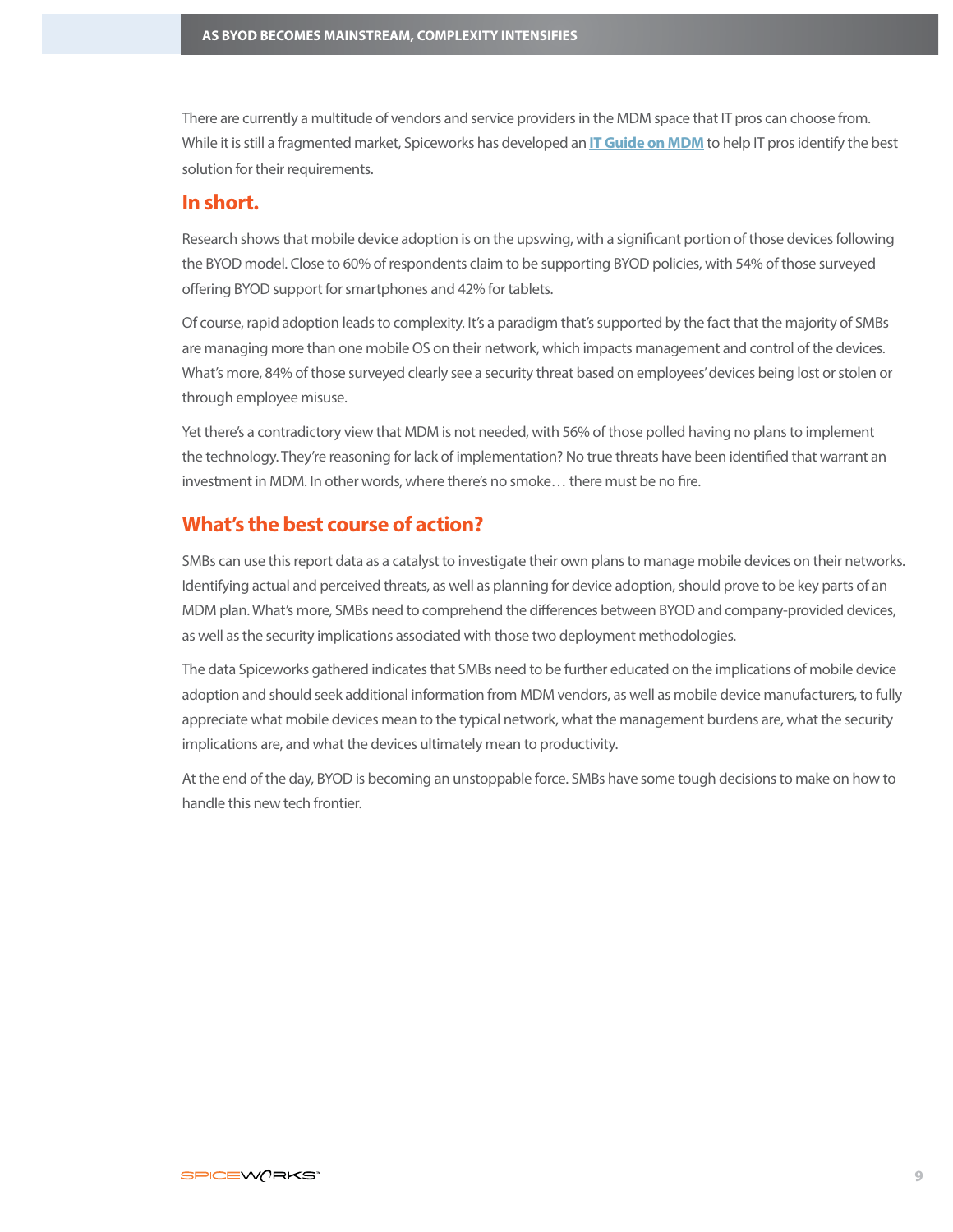There are currently a multitude of vendors and service providers in the MDM space that IT pros can choose from. While it is still a fragmented market, Spiceworks has developed an **[IT Guide on MDM](http://community.spiceworks.com/mobile/mobile-device-management/guide?source=byod-report)** to help IT pros identify the best solution for their requirements.

# **In short.**

Research shows that mobile device adoption is on the upswing, with a significant portion of those devices following the BYOD model. Close to 60% of respondents claim to be supporting BYOD policies, with 54% of those surveyed offering BYOD support for smartphones and 42% for tablets.

Of course, rapid adoption leads to complexity. It's a paradigm that's supported by the fact that the majority of SMBs are managing more than one mobile OS on their network, which impacts management and control of the devices. What's more, 84% of those surveyed clearly see a security threat based on employees' devices being lost or stolen or through employee misuse.

Yet there's a contradictory view that MDM is not needed, with 56% of those polled having no plans to implement the technology. They're reasoning for lack of implementation? No true threats have been identified that warrant an investment in MDM. In other words, where there's no smoke... there must be no fire.

# **What's the best course of action?**

SMBs can use this report data as a catalyst to investigate their own plans to manage mobile devices on their networks. Identifying actual and perceived threats, as well as planning for device adoption, should prove to be key parts of an MDM plan. What's more, SMBs need to comprehend the differences between BYOD and company-provided devices, as well as the security implications associated with those two deployment methodologies.

The data Spiceworks gathered indicates that SMBs need to be further educated on the implications of mobile device adoption and should seek additional information from MDM vendors, as well as mobile device manufacturers, to fully appreciate what mobile devices mean to the typical network, what the management burdens are, what the security implications are, and what the devices ultimately mean to productivity.

At the end of the day, BYOD is becoming an unstoppable force. SMBs have some tough decisions to make on how to handle this new tech frontier.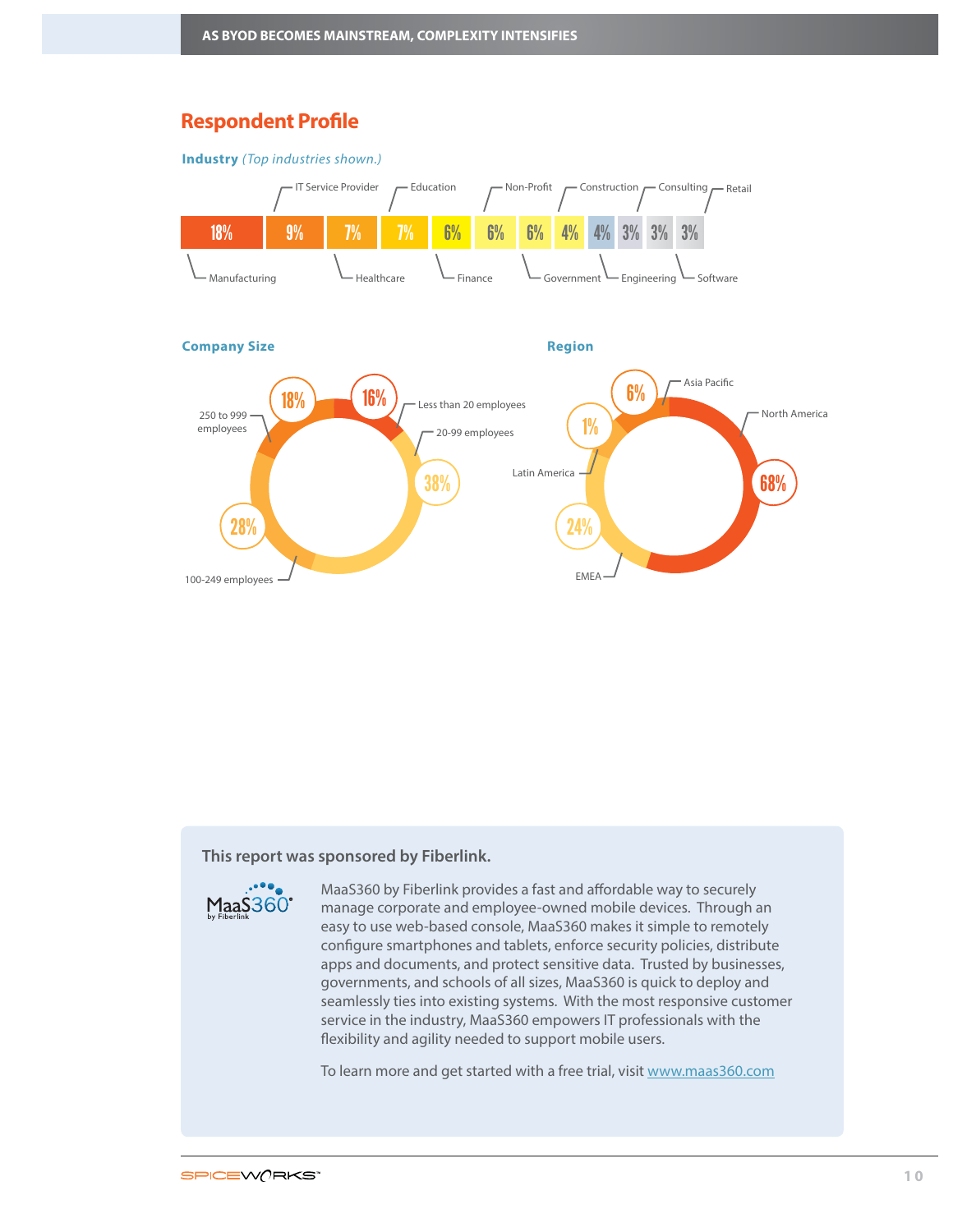# **Respondent Profile**





# **This report was sponsored by Fiberlink.**

 $Maa\dot{S}360^\circ$ 

MaaS360 by Fiberlink provides a fast and affordable way to securely manage corporate and employee-owned mobile devices. Through an easy to use web-based console, MaaS360 makes it simple to remotely configure smartphones and tablets, enforce security policies, distribute apps and documents, and protect sensitive data. Trusted by businesses, governments, and schools of all sizes, MaaS360 is quick to deploy and seamlessly ties into existing systems. With the most responsive customer service in the industry, MaaS360 empowers IT professionals with the flexibility and agility needed to support mobile users.

To learn more and get started with a free trial, visit [www.maas360.com](http://www.maas360.com)